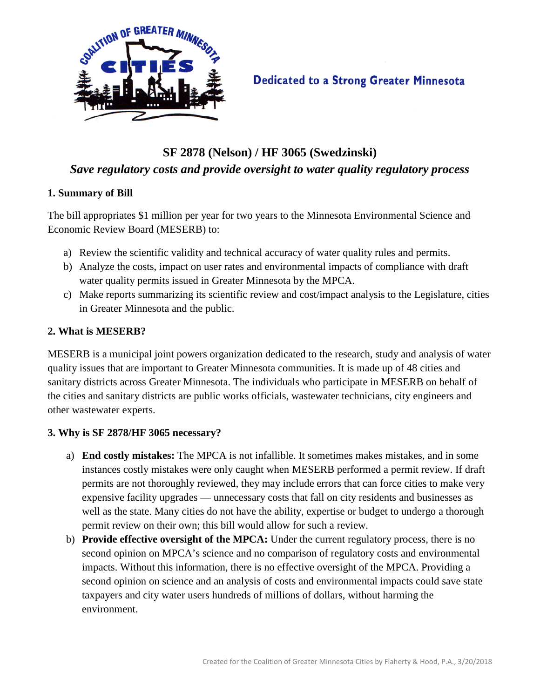

# **Dedicated to a Strong Greater Minnesota**

# **SF 2878 (Nelson) / HF 3065 (Swedzinski)** *Save regulatory costs and provide oversight to water quality regulatory process*

#### **1. Summary of Bill**

The bill appropriates \$1 million per year for two years to the Minnesota Environmental Science and Economic Review Board (MESERB) to:

- a) Review the scientific validity and technical accuracy of water quality rules and permits.
- b) Analyze the costs, impact on user rates and environmental impacts of compliance with draft water quality permits issued in Greater Minnesota by the MPCA.
- c) Make reports summarizing its scientific review and cost/impact analysis to the Legislature, cities in Greater Minnesota and the public.

### **2. What is MESERB?**

MESERB is a municipal joint powers organization dedicated to the research, study and analysis of water quality issues that are important to Greater Minnesota communities. It is made up of 48 cities and sanitary districts across Greater Minnesota. The individuals who participate in MESERB on behalf of the cities and sanitary districts are public works officials, wastewater technicians, city engineers and other wastewater experts.

### **3. Why is SF 2878/HF 3065 necessary?**

- a) **End costly mistakes:** The MPCA is not infallible. It sometimes makes mistakes, and in some instances costly mistakes were only caught when MESERB performed a permit review. If draft permits are not thoroughly reviewed, they may include errors that can force cities to make very expensive facility upgrades — unnecessary costs that fall on city residents and businesses as well as the state. Many cities do not have the ability, expertise or budget to undergo a thorough permit review on their own; this bill would allow for such a review.
- b) **Provide effective oversight of the MPCA:** Under the current regulatory process, there is no second opinion on MPCA's science and no comparison of regulatory costs and environmental impacts. Without this information, there is no effective oversight of the MPCA. Providing a second opinion on science and an analysis of costs and environmental impacts could save state taxpayers and city water users hundreds of millions of dollars, without harming the environment.